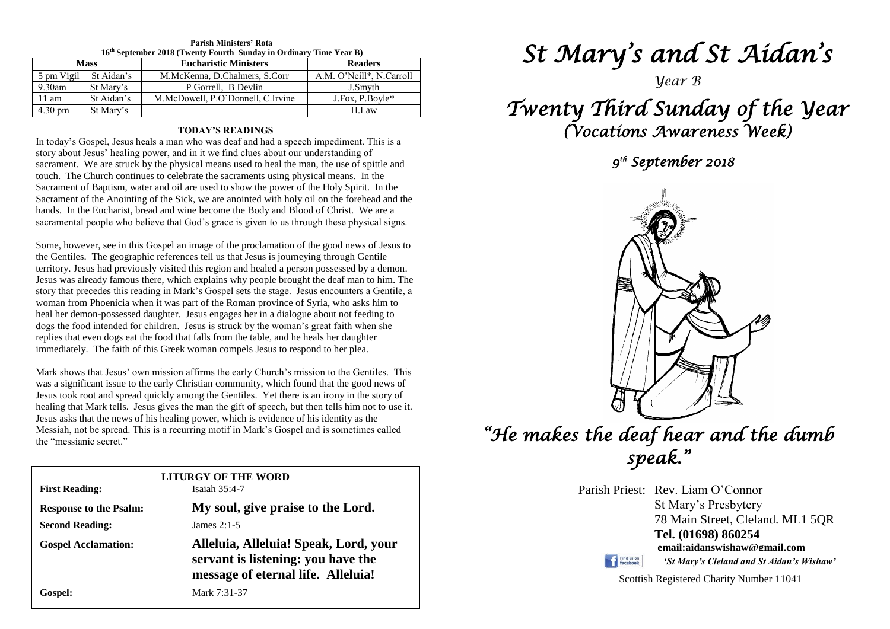| 16 <sup>th</sup> September 2018 (Twenty Fourth Sunday in Ordinary Time Year B) |            |                                   |                          |  |  |  |
|--------------------------------------------------------------------------------|------------|-----------------------------------|--------------------------|--|--|--|
| <b>Mass</b>                                                                    |            | <b>Eucharistic Ministers</b>      | <b>Readers</b>           |  |  |  |
| 5 pm Vigil                                                                     | St Aidan's | M.McKenna, D.Chalmers, S.Corr     | A.M. O'Neill*, N.Carroll |  |  |  |
| 9.30am                                                                         | St Mary's  | P Gorrell. B Devlin               | J.Smyth                  |  |  |  |
| $11 \text{ am}$                                                                | St Aidan's | M.McDowell, P.O'Donnell, C.Irvine | J.Fox, P.Boyle*          |  |  |  |
| $4.30 \text{ pm}$                                                              | St Mary's  |                                   | H.Law                    |  |  |  |

### **Parish Ministers' Rota**

#### **TODAY'S READINGS**

In today's Gospel, Jesus heals a man who was deaf and had a speech impediment. This is a story about Jesus' healing power, and in it we find clues about our understanding of sacrament. We are struck by the physical means used to heal the man, the use of spittle and touch. The Church continues to celebrate the sacraments using physical means. In the Sacrament of Baptism, water and oil are used to show the power of the Holy Spirit. In the Sacrament of the Anointing of the Sick, we are anointed with holy oil on the forehead and the hands. In the Eucharist, bread and wine become the Body and Blood of Christ. We are a sacramental people who believe that God's grace is given to us through these physical signs.

dogs the food intended for children. Jesus is struck by the woman's great faith when<br>replies that even dogs eat the food that falls from the table, and he heals her daughter<br>intended to The faith of this Grad program counc Some, however, see in this Gospel an image of the proclamation of the good news of Jesus to the Gentiles. The geographic references tell us that Jesus is journeying through Gentile territory. Jesus had previously visited this region and healed a person possessed by a demon. Jesus was already famous there, which explains why people brought the deaf man to him. The story that precedes this reading in Mark's Gospel sets the stage. Jesus encounters a Gentile, a woman from Phoenicia when it was part of the Roman province of Syria, who asks him to heal her demon-possessed daughter. Jesus engages her in a dialogue about not feeding to dogs the food intended for children. Jesus is struck by the woman's great faith when she immediately. The faith of this Greek woman compels Jesus to respond to her plea.

*Mark shows that Jesus'* own mission affirms the early Church's mission to the Gentiles. This was a significant ignore to the early Christian community, which found that the good name of Jesus took root and spread quickly among the Gentiles. Yet there is an irony in the story of<br>healing that Mark tells. Jesus gives the man the gift of speech, but then tells him not to use it.<br>Jesus asks that the news of hi Messiah, not be spread. This is a recurring motif in Mark's Gospel and is sometimes called the "messianic secret." was a significant issue to the early Christian community, which found that the good news of Jesus took root and spread quickly among the Gentiles. Yet there is an irony in the story of Jesus asks that the news of his healing power, which is evidence of his identity as the the "messianic secret."

| LITURGY OF THE WORD<br>Isaiah $35:4-7$<br><b>First Reading:</b> |                                                                                                                   |  |  |  |
|-----------------------------------------------------------------|-------------------------------------------------------------------------------------------------------------------|--|--|--|
| <b>Response to the Psalm:</b>                                   | My soul, give praise to the Lord.                                                                                 |  |  |  |
| <b>Second Reading:</b>                                          | James $2:1-5$                                                                                                     |  |  |  |
| <b>Gospel Acclamation:</b>                                      | Alleluia, Alleluia! Speak, Lord, your<br>servant is listening: you have the<br>message of eternal life. Alleluia! |  |  |  |
| Gospel:                                                         | Mark 7:31-37                                                                                                      |  |  |  |

# *St Mary's and St Aidan's*

*Year B*

## *Twenty Third Sunday of the Year (Vocations Awareness Week)*

 *9 th September 2018* 



# *"He makes the deaf hear and the dumb speak."*

Parish Priest: Rev. Liam O'Connor St Mary's Presbytery 78 Main Street, Cleland. ML1 5QR **Tel. (01698) 860254 email:aidanswishaw@gmail.com**

Find us on

*'St Mary's Cleland and St Aidan's Wishaw'*

Scottish Registered Charity Number 11041